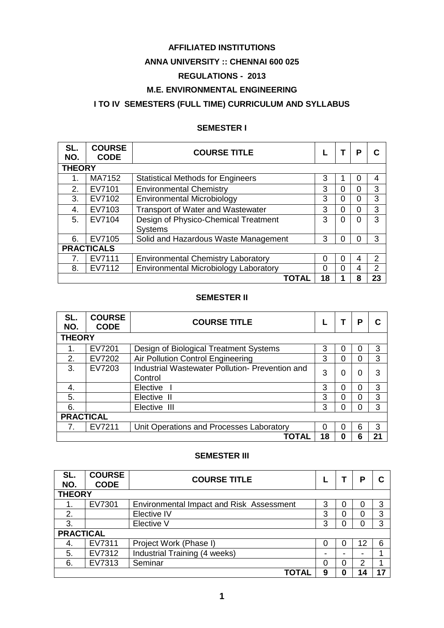# **AFFILIATED INSTITUTIONS**

## **ANNA UNIVERSITY :: CHENNAI 600 025**

## **REGULATIONS - 2013**

# **M.E. ENVIRONMENTAL ENGINEERING**

# **I TO IV SEMESTERS (FULL TIME) CURRICULUM AND SYLLABUS**

# **SEMESTER I**

| SL.<br>NO.        | <b>COURSE</b><br><b>CODE</b> | <b>COURSE TITLE</b>                       |    |   | P        |    |  |
|-------------------|------------------------------|-------------------------------------------|----|---|----------|----|--|
| <b>THEORY</b>     |                              |                                           |    |   |          |    |  |
|                   | MA7152                       | <b>Statistical Methods for Engineers</b>  | 3  |   | $\Omega$ | 4  |  |
| 2.                | EV7101                       | <b>Environmental Chemistry</b>            | 3  | O | 0        | 3  |  |
| 3.                | EV7102                       | <b>Environmental Microbiology</b>         | 3  | 0 | $\Omega$ | 3  |  |
| 4.                | EV7103                       | <b>Transport of Water and Wastewater</b>  | 3  | 0 | $\Omega$ | 3  |  |
| 5.                | EV7104                       | Design of Physico-Chemical Treatment      | 3  | O | $\Omega$ | 3  |  |
|                   |                              | <b>Systems</b>                            |    |   |          |    |  |
| 6.                | EV7105                       | Solid and Hazardous Waste Management      | 3  |   | $\Omega$ | 3  |  |
| <b>PRACTICALS</b> |                              |                                           |    |   |          |    |  |
| 7.                | EV7111                       | <b>Environmental Chemistry Laboratory</b> | 0  | ∩ | 4        | 2  |  |
| 8.                | EV7112                       | Environmental Microbiology Laboratory     | 0  | ∩ | 4        | 2  |  |
|                   |                              | TOTAL                                     | 18 |   | 8        | 23 |  |

## **SEMESTER II**

| SL.<br>NO.       | <b>COURSE</b><br><b>CODE</b> | <b>COURSE TITLE</b>                                        |    |   | P |    |  |  |
|------------------|------------------------------|------------------------------------------------------------|----|---|---|----|--|--|
|                  | <b>THEORY</b>                |                                                            |    |   |   |    |  |  |
|                  | EV7201                       | Design of Biological Treatment Systems                     | 3  |   | 0 | 3  |  |  |
| 2.               | EV7202                       | Air Pollution Control Engineering                          | 3  | 0 | 0 | 3  |  |  |
| $\mathbf{3}$     | EV7203                       | Industrial Wastewater Pollution- Prevention and<br>Control | 3  | 0 | 0 | 3  |  |  |
| 4.               |                              | Elective                                                   | 3  | 0 | 0 | 3  |  |  |
| 5.               |                              | Elective II                                                | 3  |   | 0 | 3  |  |  |
| 6.               |                              | Elective III                                               | 3  | O | 0 | 3  |  |  |
| <b>PRACTICAL</b> |                              |                                                            |    |   |   |    |  |  |
| 7.               | EV7211                       | Unit Operations and Processes Laboratory                   | 0  | 0 | 6 | 3  |  |  |
|                  |                              | ΤΟΤΑΙ                                                      | 18 | O | 6 | 21 |  |  |

## **SEMESTER III**

| SL.           | <b>COURSE</b>    | <b>COURSE TITLE</b>                      |   |   | Ρ  |   |  |
|---------------|------------------|------------------------------------------|---|---|----|---|--|
| NO.           | <b>CODE</b>      |                                          |   |   |    |   |  |
| <b>THEORY</b> |                  |                                          |   |   |    |   |  |
|               | EV7301           | Environmental Impact and Risk Assessment | 3 | 0 | 0  | 3 |  |
| 2.            |                  | Elective IV                              | 3 | 0 |    | 3 |  |
| $\mathbf{3}$  |                  | Elective V                               | 3 | 0 |    | 3 |  |
|               | <b>PRACTICAL</b> |                                          |   |   |    |   |  |
| 4.            | EV7311           | Project Work (Phase I)                   | 0 | 0 | 12 | 6 |  |
| 5.            | EV7312           | Industrial Training (4 weeks)            | ۰ | - | -  |   |  |
| 6.            | EV7313           | Seminar                                  | 0 | 0 | 2  |   |  |
|               |                  | TOTAL                                    | 9 | 0 | 14 |   |  |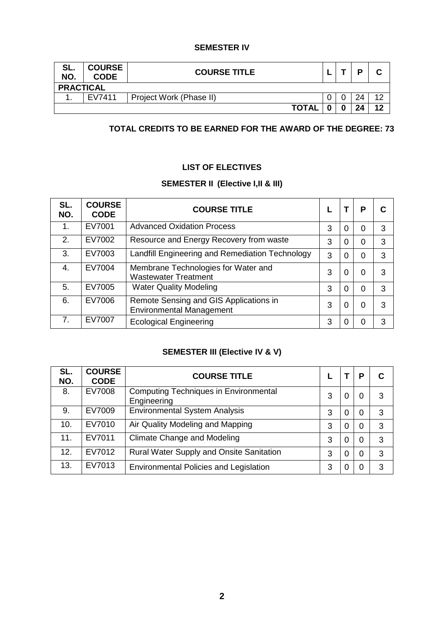## **SEMESTER IV**

| SL.<br>NO.       | <b>COURSE</b><br><b>CODE</b> | <b>COURSE TITLE</b>     |   |   | D  | ◠  |  |
|------------------|------------------------------|-------------------------|---|---|----|----|--|
| <b>PRACTICAL</b> |                              |                         |   |   |    |    |  |
|                  | EV7411                       | Project Work (Phase II) | υ |   | 24 | 10 |  |
|                  |                              | <b>TOTAL</b>            |   | 0 | 24 | ィク |  |

# **TOTAL CREDITS TO BE EARNED FOR THE AWARD OF THE DEGREE: 73**

# **LIST OF ELECTIVES**

# **SEMESTER II (Elective I,II & III)**

| SL.<br>NO. | <b>COURSE</b><br><b>CODE</b> | <b>COURSE TITLE</b>                                                       |   |                | P        |   |
|------------|------------------------------|---------------------------------------------------------------------------|---|----------------|----------|---|
| 1.         | EV7001                       | <b>Advanced Oxidation Process</b>                                         | 3 | $\overline{0}$ | 0        | 3 |
| 2.         | EV7002                       | Resource and Energy Recovery from waste                                   | 3 | 0              | 0        | 3 |
| 3.         | EV7003                       | Landfill Engineering and Remediation Technology                           | 3 | $\overline{0}$ | 0        | 3 |
| 4.         | EV7004                       | Membrane Technologies for Water and<br><b>Wastewater Treatment</b>        | 3 | 0              | 0        | 3 |
| 5.         | EV7005                       | <b>Water Quality Modeling</b>                                             | 3 | $\Omega$       | $\Omega$ | 3 |
| 6.         | EV7006                       | Remote Sensing and GIS Applications in<br><b>Environmental Management</b> | 3 | 0              | 0        | 3 |
| 7.         | EV7007                       | <b>Ecological Engineering</b>                                             | 3 | $\Omega$       | 0        | 3 |

# **SEMESTER III (Elective IV & V)**

| SL.<br>NO. | <b>COURSE</b><br><b>CODE</b> | <b>COURSE TITLE</b>                                         |   |   | Р |   |
|------------|------------------------------|-------------------------------------------------------------|---|---|---|---|
| 8.         | EV7008                       | <b>Computing Techniques in Environmental</b><br>Engineering | 3 | 0 | 0 | 3 |
| 9.         | EV7009                       | <b>Environmental System Analysis</b>                        | 3 | 0 | 0 | 3 |
| 10.        | EV7010                       | Air Quality Modeling and Mapping                            | 3 | 0 | 0 | 3 |
| 11.        | EV7011                       | <b>Climate Change and Modeling</b>                          | 3 | 0 | 0 | 3 |
| 12.        | EV7012                       | Rural Water Supply and Onsite Sanitation                    | 3 | 0 | 0 | 3 |
| 13.        | EV7013                       | <b>Environmental Policies and Legislation</b>               | 3 | 0 | 0 | 3 |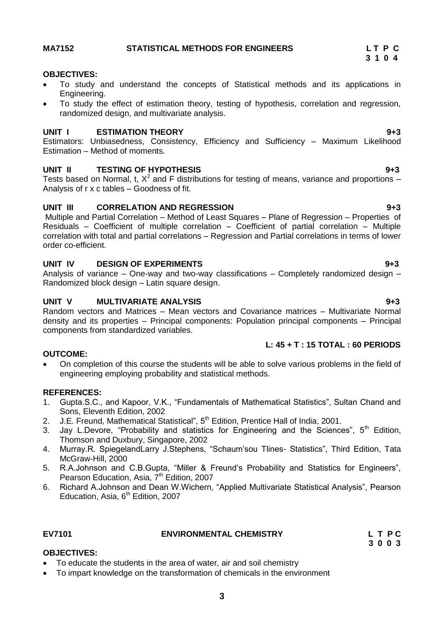## **3**

# <span id="page-2-0"></span>**MA7152 STATISTICAL METHODS FOR ENGINEERS L T P C**

## **OBJECTIVES:**

- To study and understand the concepts of Statistical methods and its applications in Engineering.
- To study the effect of estimation theory, testing of hypothesis, correlation and regression, randomized design, and multivariate analysis.

## **UNIT I ESTIMATION THEORY 9+3**

Estimators: Unbiasedness, Consistency, Efficiency and Sufficiency – Maximum Likelihood Estimation – Method of moments.

## **UNIT II TESTING OF HYPOTHESIS 9+3**

Tests based on Normal, t,  $X^2$  and F distributions for testing of means, variance and proportions  $-$ Analysis of r x c tables – Goodness of fit.

## **UNIT III CORRELATION AND REGRESSION 9+3**

Multiple and Partial Correlation – Method of Least Squares – Plane of Regression – Properties of Residuals – Coefficient of multiple correlation – Coefficient of partial correlation – Multiple correlation with total and partial correlations – Regression and Partial correlations in terms of lower order co-efficient.

## **UNIT IV DESIGN OF EXPERIMENTS 9+3**

Analysis of variance – One-way and two-way classifications – Completely randomized design – Randomized block design – Latin square design.

## **UNIT V MULTIVARIATE ANALYSIS 9+3**

Random vectors and Matrices – Mean vectors and Covariance matrices – Multivariate Normal density and its properties – Principal components: Population principal components – Principal components from standardized variables.

## **L: 45 + T : 15 TOTAL : 60 PERIODS**

## **OUTCOME:**

 On completion of this course the students will be able to solve various problems in the field of engineering employing probability and statistical methods.

## **REFERENCES:**

- 1. Gupta.S.C., and Kapoor, V.K., "Fundamentals of Mathematical Statistics", Sultan Chand and Sons, Eleventh Edition, 2002
- 2. J.E. Freund, Mathematical Statistical", 5<sup>th</sup> Edition, Prentice Hall of India, 2001.
- 3. Jay L.Devore, "Probability and statistics for Engineering and the Sciences",  $5<sup>th</sup>$  Edition, Thomson and Duxbury, Singapore, 2002
- 4. Murray.R. SpiegelandLarry J.Stephens, "Schaum"sou Tlines- Statistics", Third Edition, Tata McGraw-Hill, 2000
- 5. R.A.Johnson and C.B.Gupta, "Miller & Freund"s Probability and Statistics for Engineers", Pearson Education, Asia, 7<sup>th</sup> Edition, 2007
- 6. Richard A.Johnson and Dean W.Wichern, "Applied Multivariate Statistical Analysis", Pearson Education, Asia,  $6<sup>th</sup>$  Edition, 2007

# **OBJECTIVES:**

- To educate the students in the area of water, air and soil chemistry
- To impart knowledge on the transformation of chemicals in the environment

 **3 1 0 4**

### <span id="page-2-1"></span>**EV7101 ENVIRONMENTAL CHEMISTRY L T P C 3 0 0 3**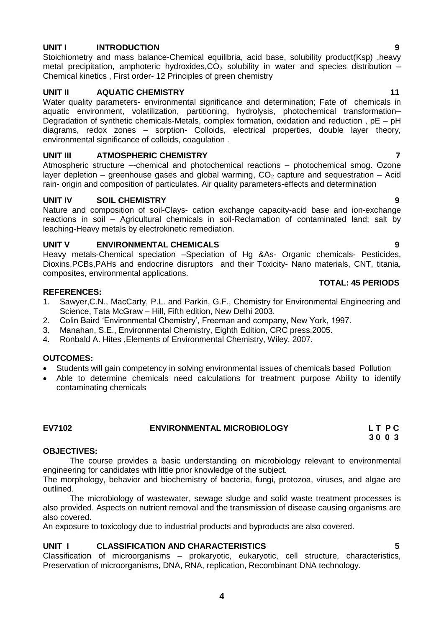## **UNIT I INTRODUCTION 9**

Stoichiometry and mass balance-Chemical equilibria, acid base, solubility product(Ksp) ,heavy metal precipitation, amphoteric hydroxides,  $CO<sub>2</sub>$  solubility in water and species distribution – Chemical kinetics , First order- 12 Principles of green chemistry

## **UNIT II AQUATIC CHEMISTRY 11**

Water quality parameters- environmental significance and determination; Fate of chemicals in aquatic environment, volatilization, partitioning, hydrolysis, photochemical transformation– Degradation of synthetic chemicals-Metals, complex formation, oxidation and reduction , pE – pH diagrams, redox zones – sorption- Colloids, electrical properties, double layer theory, environmental significance of colloids, coagulation .

## **UNIT III ATMOSPHERIC CHEMISTRY 7**

Atmospheric structure –-chemical and photochemical reactions – photochemical smog. Ozone layer depletion – greenhouse gases and global warming,  $CO<sub>2</sub>$  capture and sequestration – Acid rain- origin and composition of particulates. Air quality parameters-effects and determination

## **UNIT IV SOIL CHEMISTRY 9**

Nature and composition of soil-Clays- cation exchange capacity-acid base and ion-exchange reactions in soil – Agricultural chemicals in soil-Reclamation of contaminated land; salt by leaching-Heavy metals by electrokinetic remediation.

## **UNIT V ENVIRONMENTAL CHEMICALS 9**

Heavy metals-Chemical speciation –Speciation of Hg &As- Organic chemicals- Pesticides, Dioxins,PCBs,PAHs and endocrine disruptors and their Toxicity- Nano materials, CNT, titania, composites, environmental applications.

## **REFERENCES:**

- 1. Sawyer,C.N., MacCarty, P.L. and Parkin, G.F., Chemistry for Environmental Engineering and Science, Tata McGraw – Hill, Fifth edition, New Delhi 2003.
- 2. Colin Baird "Environmental Chemistry", Freeman and company, New York, 1997.
- 3. Manahan, S.E., Environmental Chemistry, Eighth Edition, CRC press,2005.
- 4. Ronbald A. Hites ,Elements of Environmental Chemistry, Wiley, 2007.

## **OUTCOMES:**

- Students will gain competency in solving environmental issues of chemicals based Pollution
- Able to determine chemicals need calculations for treatment purpose Ability to identify contaminating chemicals

### <span id="page-3-0"></span>EV7102 **ENVIRONMENTAL MICROBIOLOGY L T P C** 3 0 0 3  **3 0 0 3**

### **OBJECTIVES:**

The course provides a basic understanding on microbiology relevant to environmental engineering for candidates with little prior knowledge of the subject.

The morphology, behavior and biochemistry of bacteria, fungi, protozoa, viruses, and algae are outlined.

The microbiology of wastewater, sewage sludge and solid waste treatment processes is also provided. Aspects on nutrient removal and the transmission of disease causing organisms are also covered.

An exposure to toxicology due to industrial products and byproducts are also covered.

## **UNIT I CLASSIFICATION AND CHARACTERISTICS 5**

Classification of microorganisms – prokaryotic, eukaryotic, cell structure, characteristics, Preservation of microorganisms, DNA, RNA, replication, Recombinant DNA technology.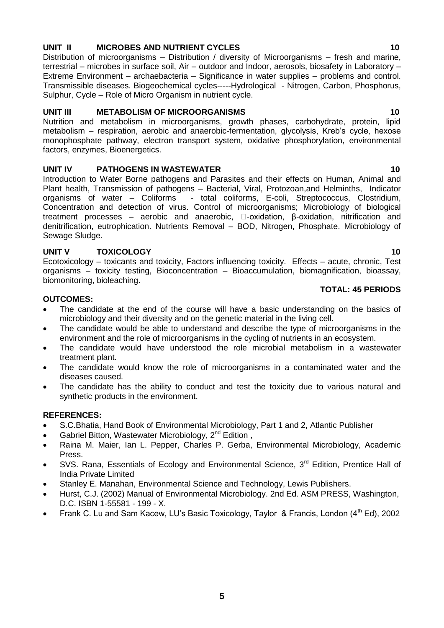# **UNIT II MICROBES AND NUTRIENT CYCLES 10**

Distribution of microorganisms – Distribution / diversity of Microorganisms – fresh and marine, terrestrial – microbes in surface soil, Air – outdoor and Indoor, aerosols, biosafety in Laboratory – Extreme Environment – archaebacteria – Significance in water supplies – problems and control. Transmissible diseases. Biogeochemical cycles-----Hydrological - Nitrogen, Carbon, Phosphorus, Sulphur, Cycle – Role of Micro Organism in nutrient cycle.

## **UNIT III METABOLISM OF MICROORGANISMS 10**

Nutrition and metabolism in microorganisms, growth phases, carbohydrate, protein, lipid metabolism – respiration, aerobic and anaerobic-fermentation, glycolysis, Kreb's cycle, hexose monophosphate pathway, electron transport system, oxidative phosphorylation, environmental factors, enzymes, Bioenergetics.

## **UNIT IV PATHOGENS IN WASTEWATER 10** 10

Introduction to Water Borne pathogens and Parasites and their effects on Human, Animal and Plant health, Transmission of pathogens – Bacterial, Viral, Protozoan,and Helminths, Indicator organisms of water – Coliforms - total coliforms, E-coli, Streptococcus, Clostridium, Concentration and detection of virus. Control of microorganisms; Microbiology of biological treatment processes – aerobic and anaerobic,  $\Box$ -oxidation,  $\beta$ -oxidation, nitrification and denitrification, eutrophication. Nutrients Removal – BOD, Nitrogen, Phosphate. Microbiology of Sewage Sludge.

## **UNIT V TOXICOLOGY 10**

Ecotoxicology – toxicants and toxicity, Factors influencing toxicity. Effects – acute, chronic, Test organisms – toxicity testing, Bioconcentration – Bioaccumulation, biomagnification, bioassay, biomonitoring, bioleaching.

## **OUTCOMES:**

- The candidate at the end of the course will have a basic understanding on the basics of microbiology and their diversity and on the genetic material in the living cell.
- The candidate would be able to understand and describe the type of microorganisms in the environment and the role of microorganisms in the cycling of nutrients in an ecosystem.
- The candidate would have understood the role microbial metabolism in a wastewater treatment plant.
- The candidate would know the role of microorganisms in a contaminated water and the diseases caused.
- The candidate has the ability to conduct and test the toxicity due to various natural and synthetic products in the environment.

## **REFERENCES:**

- S.C.Bhatia, Hand Book of Environmental Microbiology, Part 1 and 2, Atlantic Publisher
- Gabriel Bitton, Wastewater Microbiology, 2<sup>nd</sup> Edition,
- Raina M. Maier, Ian L. Pepper, Charles P. Gerba, Environmental Microbiology, Academic Press.
- SVS. Rana, Essentials of Ecology and Environmental Science, 3<sup>rd</sup> Edition, Prentice Hall of India Private Limited
- Stanley E. Manahan, Environmental Science and Technology, Lewis Publishers.
- Hurst, C.J. (2002) Manual of Environmental Microbiology. 2nd Ed. ASM PRESS, Washington, D.C. ISBN 1-55581 - 199 - X.
- Frank C. Lu and Sam Kacew, LU's Basic Toxicology, Taylor & Francis, London (4<sup>th</sup> Ed), 2002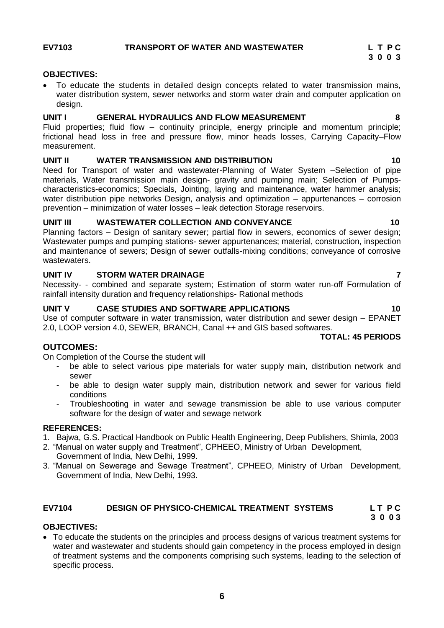<span id="page-5-0"></span>

## **OBJECTIVES:**

 To educate the students in detailed design concepts related to water transmission mains, water distribution system, sewer networks and storm water drain and computer application on design.

## **UNIT I GENERAL HYDRAULICS AND FLOW MEASUREMENT 8**

Fluid properties; fluid flow – continuity principle, energy principle and momentum principle; frictional head loss in free and pressure flow, minor heads losses, Carrying Capacity–Flow measurement.

## **UNIT II WATER TRANSMISSION AND DISTRIBUTION 10**

Need for Transport of water and wastewater-Planning of Water System –Selection of pipe materials, Water transmission main design- gravity and pumping main; Selection of Pumpscharacteristics-economics; Specials, Jointing, laying and maintenance, water hammer analysis; water distribution pipe networks Design, analysis and optimization – appurtenances – corrosion prevention – minimization of water losses – leak detection Storage reservoirs.

## **UNIT III WASTEWATER COLLECTION AND CONVEYANCE 10**

Planning factors – Design of sanitary sewer; partial flow in sewers, economics of sewer design; Wastewater pumps and pumping stations- sewer appurtenances; material, construction, inspection and maintenance of sewers; Design of sewer outfalls-mixing conditions; conveyance of corrosive wastewaters.

## **UNIT IV STORM WATER DRAINAGE 7**

Necessity- - combined and separate system; Estimation of storm water run-off Formulation of rainfall intensity duration and frequency relationships- Rational methods

## **UNIT V CASE STUDIES AND SOFTWARE APPLICATIONS 10**

Use of computer software in water transmission, water distribution and sewer design – EPANET 2.0, LOOP version 4.0, SEWER, BRANCH, Canal ++ and GIS based softwares.

## **TOTAL: 45 PERIODS**

## **OUTCOMES:**

On Completion of the Course the student will

- be able to select various pipe materials for water supply main, distribution network and sewer
- be able to design water supply main, distribution network and sewer for various field conditions
- Troubleshooting in water and sewage transmission be able to use various computer software for the design of water and sewage network

## **REFERENCES:**

- 1. Bajwa, G.S. Practical Handbook on Public Health Engineering, Deep Publishers, Shimla, 2003
- 2. "Manual on water supply and Treatment", CPHEEO, Ministry of Urban Development, Government of India, New Delhi, 1999.
- 3. "Manual on Sewerage and Sewage Treatment", CPHEEO, Ministry of Urban Development, Government of India, New Delhi, 1993.

# <span id="page-5-1"></span>**EV7104 DESIGN OF PHYSICO-CHEMICAL TREATMENT SYSTEMS L T P C**

# **3 0 0 3**

# **OBJECTIVES:**

 To educate the students on the principles and process designs of various treatment systems for water and wastewater and students should gain competency in the process employed in design of treatment systems and the components comprising such systems, leading to the selection of specific process.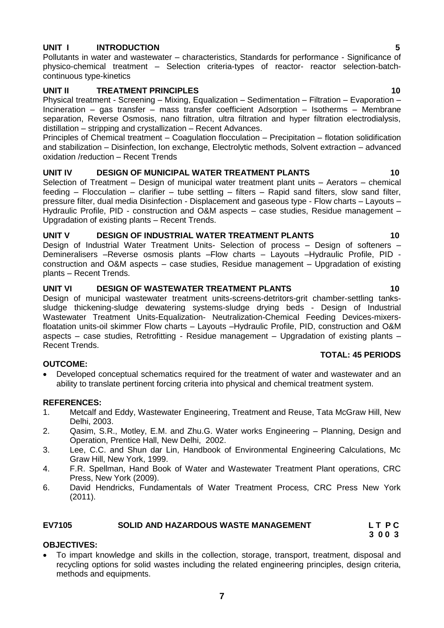## **UNIT I INTRODUCTION 5**

Pollutants in water and wastewater – characteristics, Standards for performance - Significance of physico-chemical treatment – Selection criteria-types of reactor- reactor selection-batchcontinuous type-kinetics

## **UNIT II TREATMENT PRINCIPLES 10**

Physical treatment - Screening – Mixing, Equalization – Sedimentation – Filtration – Evaporation – Incineration – gas transfer – mass transfer coefficient Adsorption – Isotherms – Membrane separation, Reverse Osmosis, nano filtration, ultra filtration and hyper filtration electrodialysis, distillation – stripping and crystallization – Recent Advances.

Principles of Chemical treatment – Coagulation flocculation – Precipitation – flotation solidification and stabilization – Disinfection, Ion exchange, Electrolytic methods, Solvent extraction – advanced oxidation /reduction – Recent Trends

## **UNIT IV DESIGN OF MUNICIPAL WATER TREATMENT PLANTS 10**

Selection of Treatment – Design of municipal water treatment plant units – Aerators – chemical feeding – Flocculation – clarifier – tube settling – filters – Rapid sand filters, slow sand filter, pressure filter, dual media Disinfection - Displacement and gaseous type - Flow charts – Layouts – Hydraulic Profile, PID - construction and O&M aspects – case studies, Residue management – Upgradation of existing plants – Recent Trends.

## **UNIT V DESIGN OF INDUSTRIAL WATER TREATMENT PLANTS 10**

Design of Industrial Water Treatment Units- Selection of process – Design of softeners – Demineralisers –Reverse osmosis plants –Flow charts – Layouts –Hydraulic Profile, PID construction and O&M aspects – case studies, Residue management – Upgradation of existing plants – Recent Trends.

## **UNIT VI DESIGN OF WASTEWATER TREATMENT PLANTS 10**

Design of municipal wastewater treatment units-screens-detritors-grit chamber-settling tankssludge thickening-sludge dewatering systems-sludge drying beds - Design of Industrial Wastewater Treatment Units-Equalization- Neutralization-Chemical Feeding Devices-mixersfloatation units-oil skimmer Flow charts – Layouts –Hydraulic Profile, PID, construction and O&M aspects – case studies, Retrofitting - Residue management – Upgradation of existing plants – Recent Trends.

## **OUTCOME:**

 Developed conceptual schematics required for the treatment of water and wastewater and an ability to translate pertinent forcing criteria into physical and chemical treatment system.

**TOTAL: 45 PERIODS**

## **REFERENCES:**

- 1. Metcalf and Eddy, Wastewater Engineering, Treatment and Reuse, Tata McGraw Hill, New Delhi, 2003.
- 2. Qasim, S.R., Motley, E.M. and Zhu.G. Water works Engineering Planning, Design and Operation, Prentice Hall, New Delhi, 2002.
- 3. Lee, C.C. and Shun dar Lin, Handbook of Environmental Engineering Calculations, Mc Graw Hill, New York, 1999.
- 4. F.R. Spellman, Hand Book of Water and Wastewater Treatment Plant operations, CRC Press, New York (2009).
- 6. David Hendricks, Fundamentals of Water Treatment Process, CRC Press New York (2011).

### <span id="page-6-0"></span>EV7105 **SOLID AND HAZARDOUS WASTE MANAGEMENT** L T P C<br>3 0 0 3  **3 0 0 3**

## **OBJECTIVES:**

 To impart knowledge and skills in the collection, storage, transport, treatment, disposal and recycling options for solid wastes including the related engineering principles, design criteria, methods and equipments.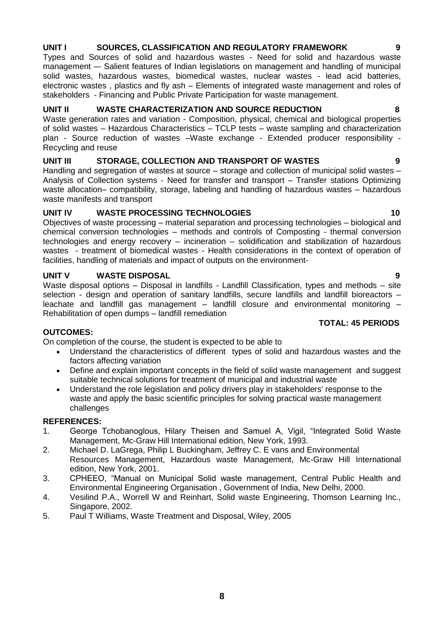# **UNIT I SOURCES, CLASSIFICATION AND REGULATORY FRAMEWORK 9**

Types and Sources of solid and hazardous wastes - Need for solid and hazardous waste management –- Salient features of Indian legislations on management and handling of municipal solid wastes, hazardous wastes, biomedical wastes, nuclear wastes - lead acid batteries, electronic wastes , plastics and fly ash – Elements of integrated waste management and roles of stakeholders - Financing and Public Private Participation for waste management.

## **UNIT II WASTE CHARACTERIZATION AND SOURCE REDUCTION 8**

Waste generation rates and variation - Composition, physical, chemical and biological properties of solid wastes – Hazardous Characteristics – TCLP tests – waste sampling and characterization plan - Source reduction of wastes –Waste exchange - Extended producer responsibility - Recycling and reuse

## **UNIT III STORAGE, COLLECTION AND TRANSPORT OF WASTES 9**

Handling and segregation of wastes at source – storage and collection of municipal solid wastes – Analysis of Collection systems - Need for transfer and transport – Transfer stations Optimizing waste allocation– compatibility, storage, labeling and handling of hazardous wastes – hazardous waste manifests and transport

## **UNIT IV WASTE PROCESSING TECHNOLOGIES** 10

Objectives of waste processing – material separation and processing technologies – biological and chemical conversion technologies – methods and controls of Composting - thermal conversion technologies and energy recovery – incineration – solidification and stabilization of hazardous wastes - treatment of biomedical wastes - Health considerations in the context of operation of facilities, handling of materials and impact of outputs on the environment-

# **UNIT V WASTE DISPOSAL 9**

Waste disposal options – Disposal in landfills - Landfill Classification, types and methods – site selection - design and operation of sanitary landfills, secure landfills and landfill bioreactors – leachate and landfill gas management – landfill closure and environmental monitoring – Rehabilitation of open dumps – landfill remediation

## **OUTCOMES:**

On completion of the course, the student is expected to be able to

- Understand the characteristics of different types of solid and hazardous wastes and the factors affecting variation
- Define and explain important concepts in the field of solid waste management and suggest suitable technical solutions for treatment of municipal and industrial waste
- Understand the role legislation and policy drivers play in stakeholders' response to the waste and apply the basic scientific principles for solving practical waste management challenges

## **REFERENCES:**

- 1. George Tchobanoglous, Hilary Theisen and Samuel A, Vigil, "Integrated Solid Waste Management, Mc-Graw Hill International edition, New York, 1993.
- 2. Michael D. LaGrega, Philip L Buckingham, Jeffrey C. E vans and Environmental Resources Management, Hazardous waste Management, Mc-Graw Hill International edition, New York, 2001.
- 3. CPHEEO, "Manual on Municipal Solid waste management, Central Public Health and Environmental Engineering Organisation , Government of India, New Delhi, 2000.
- 4. Vesilind P.A., Worrell W and Reinhart, Solid waste Engineering, Thomson Learning Inc., Singapore, 2002.
- 5. Paul T Williams, Waste Treatment and Disposal, Wiley, 2005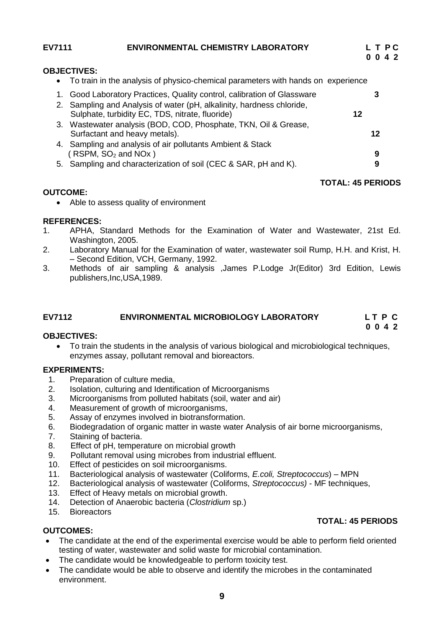<span id="page-8-0"></span>

| <b>OBJECTIVES:</b><br>To train in the analysis of physico-chemical parameters with hands on experience<br>$\bullet$<br>1. Good Laboratory Practices, Quality control, calibration of Glassware<br>2. Sampling and Analysis of water (pH, alkalinity, hardness chloride, | 0 0 4 2 | LTPC |
|-------------------------------------------------------------------------------------------------------------------------------------------------------------------------------------------------------------------------------------------------------------------------|---------|------|
|                                                                                                                                                                                                                                                                         |         |      |
|                                                                                                                                                                                                                                                                         |         |      |
|                                                                                                                                                                                                                                                                         |         |      |
|                                                                                                                                                                                                                                                                         |         |      |
| Sulphate, turbidity EC, TDS, nitrate, fluoride)<br>12                                                                                                                                                                                                                   |         |      |
| 3. Wastewater analysis (BOD, COD, Phosphate, TKN, Oil & Grease,                                                                                                                                                                                                         |         |      |
| Surfactant and heavy metals).                                                                                                                                                                                                                                           | 12      |      |
| 4. Sampling and analysis of air pollutants Ambient & Stack                                                                                                                                                                                                              |         |      |
| $($ RSPM, SO <sub>2</sub> and NOx $)$                                                                                                                                                                                                                                   | 9       |      |
| 5. Sampling and characterization of soil (CEC & SAR, pH and K).                                                                                                                                                                                                         | 9       |      |

## **TOTAL: 45 PERIODS**

## **OUTCOME:**

• Able to assess quality of environment

## **REFERENCES:**

- 1. APHA, Standard Methods for the Examination of Water and Wastewater, 21st Ed. Washington, 2005.
- 2. Laboratory Manual for the Examination of water, wastewater soil Rump, H.H. and Krist, H. – Second Edition, VCH, Germany, 1992.
- 3. Methods of air sampling & analysis ,James P.Lodge Jr(Editor) 3rd Edition, Lewis publishers,Inc,USA,1989.

# **EV7112 ENVIRONMENTAL MICROBIOLOGY LABORATORY L T P C**

### **0 0 4 2 OBJECTIVES:**

<span id="page-8-1"></span> To train the students in the analysis of various biological and microbiological techniques, enzymes assay, pollutant removal and bioreactors.

## **EXPERIMENTS:**

- 1. Preparation of culture media,
- 2. Isolation, culturing and Identification of Microorganisms
- 3. Microorganisms from polluted habitats (soil, water and air)
- 4. Measurement of growth of microorganisms,
- 5. Assay of enzymes involved in biotransformation.
- 6. Biodegradation of organic matter in waste water Analysis of air borne microorganisms,
- 7. Staining of bacteria.
- 8. Effect of pH, temperature on microbial growth
- 9. Pollutant removal using microbes from industrial effluent.
- 10. Effect of pesticides on soil microorganisms.
- 11. Bacteriological analysis of wastewater (Coliforms, *E.coli, Streptococcus*) MPN
- 12. Bacteriological analysis of wastewater (Coliforms, *Streptococcus)* MF techniques,
- 13. Effect of Heavy metals on microbial growth.
- 14. Detection of Anaerobic bacteria (*Clostridium* sp.)
- 15. Bioreactors

# **TOTAL: 45 PERIODS**

## **OUTCOMES:**

- The candidate at the end of the experimental exercise would be able to perform field oriented testing of water, wastewater and solid waste for microbial contamination.
- The candidate would be knowledgeable to perform toxicity test.
- The candidate would be able to observe and identify the microbes in the contaminated environment.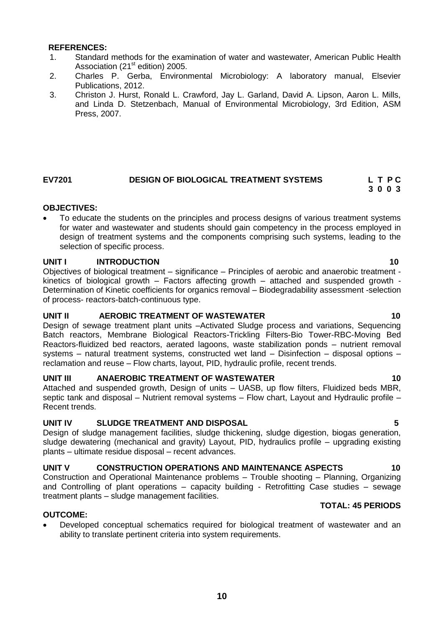- 1. Standard methods for the examination of water and wastewater, American Public Health Association (21<sup>st</sup> edition) 2005.
- 2. Charles P. Gerba, Environmental Microbiology: A laboratory manual, Elsevier Publications, 2012.
- 3. Christon J. Hurst, Ronald L. Crawford, Jay L. Garland, David A. Lipson, Aaron L. Mills, and Linda D. Stetzenbach, Manual of Environmental Microbiology, 3rd Edition, ASM Press, 2007.

### <span id="page-9-0"></span>**EV7201 DESIGN OF BIOLOGICAL TREATMENT SYSTEMS L T P C 3 0 0 3**

## **OBJECTIVES:**

 To educate the students on the principles and process designs of various treatment systems for water and wastewater and students should gain competency in the process employed in design of treatment systems and the components comprising such systems, leading to the selection of specific process.

## **UNIT I** INTRODUCTION 10

Objectives of biological treatment – significance – Principles of aerobic and anaerobic treatment kinetics of biological growth – Factors affecting growth – attached and suspended growth - Determination of Kinetic coefficients for organics removal – Biodegradability assessment -selection of process- reactors-batch-continuous type.

## **UNIT II AEROBIC TREATMENT OF WASTEWATER 10**

Design of sewage treatment plant units –Activated Sludge process and variations, Sequencing Batch reactors, Membrane Biological Reactors-Trickling Filters-Bio Tower-RBC-Moving Bed Reactors-fluidized bed reactors, aerated lagoons, waste stabilization ponds – nutrient removal systems – natural treatment systems, constructed wet land – Disinfection – disposal options – reclamation and reuse – Flow charts, layout, PID, hydraulic profile, recent trends.

## **UNIT III ANAEROBIC TREATMENT OF WASTEWATER 10**

Attached and suspended growth, Design of units – UASB, up flow filters, Fluidized beds MBR, septic tank and disposal – Nutrient removal systems – Flow chart, Layout and Hydraulic profile – Recent trends.

## **UNIT IV SLUDGE TREATMENT AND DISPOSAL 5**

Design of sludge management facilities, sludge thickening, sludge digestion, biogas generation, sludge dewatering (mechanical and gravity) Layout, PID, hydraulics profile – upgrading existing plants – ultimate residue disposal – recent advances.

## UNIT V CONSTRUCTION OPERATIONS AND MAINTENANCE ASPECTS **10**

Construction and Operational Maintenance problems – Trouble shooting – Planning, Organizing and Controlling of plant operations – capacity building - Retrofitting Case studies – sewage treatment plants – sludge management facilities.

## **OUTCOME:**

 Developed conceptual schematics required for biological treatment of wastewater and an ability to translate pertinent criteria into system requirements.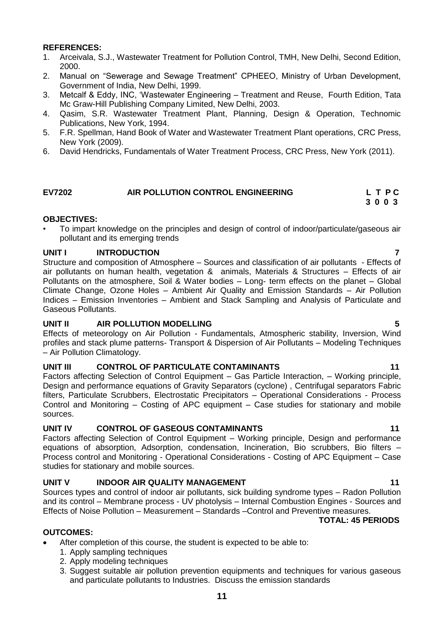- 1. Arceivala, S.J., Wastewater Treatment for Pollution Control, TMH, New Delhi, Second Edition, 2000.
- 2. Manual on "Sewerage and Sewage Treatment" CPHEEO, Ministry of Urban Development, Government of India, New Delhi, 1999.
- 3. Metcalf & Eddy, INC, "Wastewater Engineering Treatment and Reuse, Fourth Edition, Tata Mc Graw-Hill Publishing Company Limited, New Delhi, 2003.
- 4. Qasim, S.R. Wastewater Treatment Plant, Planning, Design & Operation, Technomic Publications, New York, 1994.
- 5. F.R. Spellman, Hand Book of Water and Wastewater Treatment Plant operations, CRC Press, New York (2009).
- 6. David Hendricks, Fundamentals of Water Treatment Process, CRC Press, New York (2011).

### <span id="page-10-0"></span>**EV7202 AIR POLLUTION CONTROL ENGINEERING L T P C 3 0 0 3**

## **OBJECTIVES:**

• To impart knowledge on the principles and design of control of indoor/particulate/gaseous air pollutant and its emerging trends

## **UNIT I INTRODUCTION 7**

Structure and composition of Atmosphere – Sources and classification of air pollutants - Effects of air pollutants on human health, vegetation & animals, Materials & Structures – Effects of air Pollutants on the atmosphere, Soil & Water bodies – Long- term effects on the planet – Global Climate Change, Ozone Holes – Ambient Air Quality and Emission Standards – Air Pollution Indices – Emission Inventories – Ambient and Stack Sampling and Analysis of Particulate and Gaseous Pollutants.

## **UNIT II AIR POLLUTION MODELLING 5**

Effects of meteorology on Air Pollution - Fundamentals, Atmospheric stability, Inversion, Wind profiles and stack plume patterns- Transport & Dispersion of Air Pollutants – Modeling Techniques – Air Pollution Climatology.

## **UNIT III CONTROL OF PARTICULATE CONTAMINANTS 11**

Factors affecting Selection of Control Equipment – Gas Particle Interaction, – Working principle, Design and performance equations of Gravity Separators (cyclone) , Centrifugal separators Fabric filters, Particulate Scrubbers, Electrostatic Precipitators – Operational Considerations - Process Control and Monitoring – Costing of APC equipment – Case studies for stationary and mobile sources.

## **UNIT IV CONTROL OF GASEOUS CONTAMINANTS 11**

Factors affecting Selection of Control Equipment – Working principle, Design and performance equations of absorption, Adsorption, condensation, Incineration, Bio scrubbers, Bio filters – Process control and Monitoring - Operational Considerations - Costing of APC Equipment – Case studies for stationary and mobile sources.

## **UNIT V INDOOR AIR QUALITY MANAGEMENT 11**

Sources types and control of indoor air pollutants, sick building syndrome types – Radon Pollution and its control – Membrane process - UV photolysis – Internal Combustion Engines - Sources and Effects of Noise Pollution – Measurement – Standards –Control and Preventive measures.  **TOTAL: 45 PERIODS**

## **OUTCOMES:**

- After completion of this course, the student is expected to be able to:
	- 1. Apply sampling techniques
	- 2. Apply modeling techniques
	- 3. Suggest suitable air pollution prevention equipments and techniques for various gaseous and particulate pollutants to Industries. Discuss the emission standards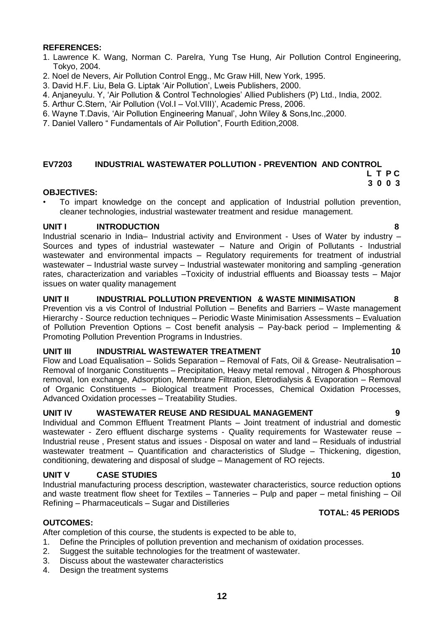- 1. Lawrence K. Wang, Norman C. Parelra, Yung Tse Hung, Air Pollution Control Engineering, Tokyo, 2004.
- 2. Noel de Nevers, Air Pollution Control Engg., Mc Graw Hill, New York, 1995.
- 3. David H.F. Liu, Bela G. Liptak "Air Pollution", Lweis Publishers, 2000.
- 4. Anjaneyulu. Y, "Air Pollution & Control Technologies" Allied Publishers (P) Ltd., India, 2002.
- 5. Arthur C.Stern, "Air Pollution (Vol.I Vol.VIII)", Academic Press, 2006.
- 6. Wayne T.Davis, "Air Pollution Engineering Manual", John Wiley & Sons,Inc.,2000.
- 7. Daniel Vallero " Fundamentals of Air Pollution", Fourth Edition,2008.

### <span id="page-11-0"></span>**EV7203 INDUSTRIAL WASTEWATER POLLUTION - PREVENTION AND CONTROL**

### **L T P C 3 0 0 3**

## **OBJECTIVES:**

• To impart knowledge on the concept and application of Industrial pollution prevention, cleaner technologies, industrial wastewater treatment and residue management.

## **UNIT I INTRODUCTION 8**

Industrial scenario in India– Industrial activity and Environment - Uses of Water by industry – Sources and types of industrial wastewater – Nature and Origin of Pollutants - Industrial wastewater and environmental impacts – Regulatory requirements for treatment of industrial wastewater – Industrial waste survey – Industrial wastewater monitoring and sampling -generation rates, characterization and variables –Toxicity of industrial effluents and Bioassay tests – Major issues on water quality management

## **UNIT II INDUSTRIAL POLLUTION PREVENTION & WASTE MINIMISATION 8**

Prevention vis a vis Control of Industrial Pollution – Benefits and Barriers – Waste management Hierarchy - Source reduction techniques – Periodic Waste Minimisation Assessments – Evaluation of Pollution Prevention Options – Cost benefit analysis – Pay-back period – Implementing & Promoting Pollution Prevention Programs in Industries.

## **UNIT III INDUSTRIAL WASTEWATER TREATMENT 10**

Flow and Load Equalisation – Solids Separation – Removal of Fats, Oil & Grease- Neutralisation – Removal of Inorganic Constituents – Precipitation, Heavy metal removal , Nitrogen & Phosphorous removal, Ion exchange, Adsorption, Membrane Filtration, Eletrodialysis & Evaporation – Removal of Organic Constituents – Biological treatment Processes, Chemical Oxidation Processes, Advanced Oxidation processes – Treatability Studies.

## **UNIT IV WASTEWATER REUSE AND RESIDUAL MANAGEMENT 9**

Individual and Common Effluent Treatment Plants – Joint treatment of industrial and domestic wastewater - Zero effluent discharge systems - Quality requirements for Wastewater reuse – Industrial reuse , Present status and issues - Disposal on water and land – Residuals of industrial wastewater treatment – Quantification and characteristics of Sludge – Thickening, digestion, conditioning, dewatering and disposal of sludge – Management of RO rejects.

## **UNIT V CASE STUDIES** 10

Industrial manufacturing process description, wastewater characteristics, source reduction options and waste treatment flow sheet for Textiles – Tanneries – Pulp and paper – metal finishing – Oil Refining – Pharmaceuticals – Sugar and Distilleries

## **TOTAL: 45 PERIODS**

## **OUTCOMES:**

After completion of this course, the students is expected to be able to,

- 1. Define the Principles of pollution prevention and mechanism of oxidation processes.
- 2. Suggest the suitable technologies for the treatment of wastewater.
- 3. Discuss about the wastewater characteristics
- 4. Design the treatment systems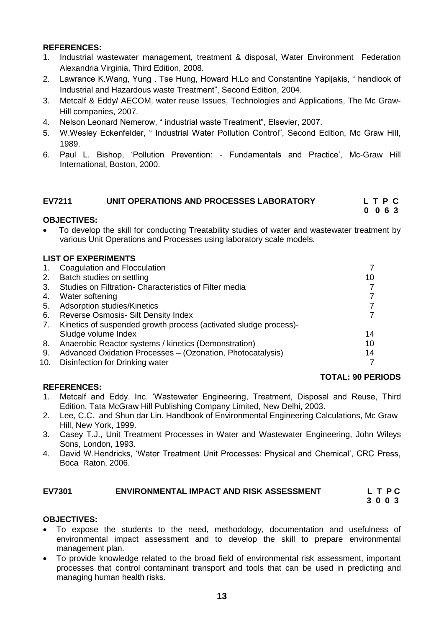- 1. Industrial wastewater management, treatment & disposal, Water Environment Federation Alexandria Virginia, Third Edition, 2008.
- 2. Lawrance K.Wang, Yung . Tse Hung, Howard H.Lo and Constantine Yapijakis, " handlook of Industrial and Hazardous waste Treatment", Second Edition, 2004.
- 3. Metcalf & Eddy/ AECOM, water reuse Issues, Technologies and Applications, The Mc Graw-Hill companies, 2007.
- 4. Nelson Leonard Nemerow, " industrial waste Treatment", Elsevier, 2007.
- 5. W.Wesley Eckenfelder, " Industrial Water Pollution Control", Second Edition, Mc Graw Hill, 1989.
- 6. Paul L. Bishop, "Pollution Prevention: Fundamentals and Practice", Mc-Graw Hill International, Boston, 2000.

### <span id="page-12-0"></span>**EV7211 UNIT OPERATIONS AND PROCESSES LABORATORY L T P C 0 0 6 3**

## **OBJECTIVES:**

 To develop the skill for conducting Treatability studies of water and wastewater treatment by various Unit Operations and Processes using laboratory scale models.

## **LIST OF EXPERIMENTS**

| 1.  | Coagulation and Flocculation                                     |    |
|-----|------------------------------------------------------------------|----|
| 2.  | Batch studies on settling                                        | 10 |
| 3.  | Studies on Filtration- Characteristics of Filter media           |    |
| 4.  | Water softening                                                  |    |
| 5.  | Adsorption studies/Kinetics                                      |    |
| 6.  | <b>Reverse Osmosis- Silt Density Index</b>                       |    |
| 7.  | Kinetics of suspended growth process (activated sludge process)- |    |
|     | Sludge volume Index                                              | 14 |
| 8.  | Anaerobic Reactor systems / kinetics (Demonstration)             | 10 |
| 9.  | Advanced Oxidation Processes - (Ozonation, Photocatalysis)       | 14 |
| 10. | Disinfection for Drinking water                                  |    |

## **REFERENCES:**

## **TOTAL: 90 PERIODS**

- 1. Metcalf and Eddy. Inc. "Wastewater Engineering, Treatment, Disposal and Reuse, Third Edition, Tata McGraw Hill Publishing Company Limited, New Delhi, 2003.
- 2. Lee, C.C. and Shun dar Lin. Handbook of Environmental Engineering Calculations, Mc Graw Hill, New York, 1999.
- 3. Casey T.J., Unit Treatment Processes in Water and Wastewater Engineering, John Wileys Sons, London, 1993.
- 4. David W.Hendricks, "Water Treatment Unit Processes: Physical and Chemical", CRC Press, Boca Raton, 2006.

## **EV7301 ENVIRONMENTAL IMPACT AND RISK ASSESSMENT L T P C**

<span id="page-12-1"></span> **3 0 0 3**

## **OBJECTIVES:**

- To expose the students to the need, methodology, documentation and usefulness of environmental impact assessment and to develop the skill to prepare environmental management plan.
- To provide knowledge related to the broad field of environmental risk assessment, important processes that control contaminant transport and tools that can be used in predicting and managing human health risks.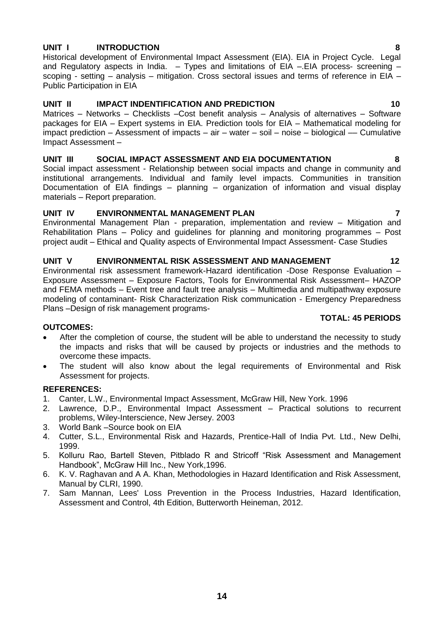## **UNIT I INTRODUCTION 8**

Historical development of Environmental Impact Assessment (EIA). EIA in Project Cycle. Legal and Regulatory aspects in India.  $-$  Types and limitations of EIA –. EIA process- screening – scoping - setting – analysis – mitigation. Cross sectoral issues and terms of reference in EIA – Public Participation in EIA

## **UNIT II IMPACT INDENTIFICATION AND PREDICTION 10**

Matrices – Networks – Checklists –Cost benefit analysis – Analysis of alternatives – Software packages for EIA – Expert systems in EIA. Prediction tools for EIA – Mathematical modeling for impact prediction – Assessment of impacts – air – water – soil – noise – biological –– Cumulative Impact Assessment –

## **UNIT III SOCIAL IMPACT ASSESSMENT AND EIA DOCUMENTATION 8**

Social impact assessment - Relationship between social impacts and change in community and institutional arrangements. Individual and family level impacts. Communities in transition Documentation of EIA findings – planning – organization of information and visual display materials – Report preparation.

## **UNIT IV ENVIRONMENTAL MANAGEMENT PLAN 7**

Environmental Management Plan - preparation, implementation and review – Mitigation and Rehabilitation Plans – Policy and guidelines for planning and monitoring programmes – Post project audit – Ethical and Quality aspects of Environmental Impact Assessment- Case Studies

## UNIT V ENVIRONMENTAL RISK ASSESSMENT AND MANAGEMENT 12

Environmental risk assessment framework-Hazard identification -Dose Response Evaluation – Exposure Assessment – Exposure Factors, Tools for Environmental Risk Assessment– HAZOP and FEMA methods – Event tree and fault tree analysis – Multimedia and multipathway exposure modeling of contaminant- Risk Characterization Risk communication - Emergency Preparedness Plans –Design of risk management programs-

## **OUTCOMES:**

- After the completion of course, the student will be able to understand the necessity to study the impacts and risks that will be caused by projects or industries and the methods to overcome these impacts.
- The student will also know about the legal requirements of Environmental and Risk Assessment for projects.

## **REFERENCES:**

- 1. Canter, L.W., Environmental Impact Assessment, McGraw Hill, New York. 1996
- 2. Lawrence, D.P., Environmental Impact Assessment Practical solutions to recurrent problems, Wiley-Interscience, New Jersey. 2003
- 3. World Bank –Source book on EIA
- 4. Cutter, S.L., Environmental Risk and Hazards, Prentice-Hall of India Pvt. Ltd., New Delhi, 1999.
- 5. Kolluru Rao, Bartell Steven, Pitblado R and Stricoff "Risk Assessment and Management Handbook", McGraw Hill Inc., New York,1996.
- 6. K. V. Raghavan and A A. Khan, Methodologies in Hazard Identification and Risk Assessment, Manual by CLRI, 1990.
- 7. Sam Mannan, Lees' Loss Prevention in the Process Industries, Hazard Identification, Assessment and Control, 4th Edition, Butterworth Heineman, 2012.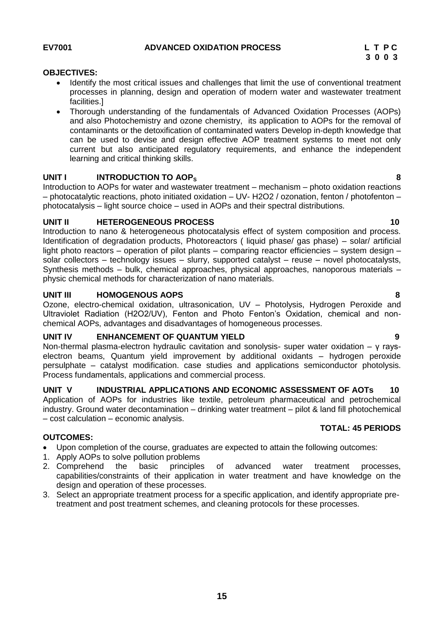## **15**

## **OBJECTIVES:**

- <span id="page-14-0"></span> Identify the most critical issues and challenges that limit the use of conventional treatment processes in planning, design and operation of modern water and wastewater treatment facilities.]
- Thorough understanding of the fundamentals of Advanced Oxidation Processes (AOPs) and also Photochemistry and ozone chemistry, its application to AOPs for the removal of contaminants or the detoxification of contaminated waters Develop in-depth knowledge that can be used to devise and design effective AOP treatment systems to meet not only current but also anticipated regulatory requirements, and enhance the independent learning and critical thinking skills.

## **UNIT I INTRODUCTION TO AOP**<sup>S</sup>

Introduction to AOPs for water and wastewater treatment – mechanism – photo oxidation reactions – photocatalytic reactions, photo initiated oxidation – UV- H2O2 / ozonation, fenton / photofenton – photocatalysis – light source choice – used in AOPs and their spectral distributions.

## **UNIT II HETEROGENEOUS PROCESS 10**

Introduction to nano & heterogeneous photocatalysis effect of system composition and process. Identification of degradation products, Photoreactors ( liquid phase/ gas phase) – solar/ artificial light photo reactors – operation of pilot plants – comparing reactor efficiencies – system design – solar collectors – technology issues – slurry, supported catalyst – reuse – novel photocatalysts, Synthesis methods – bulk, chemical approaches, physical approaches, nanoporous materials – physic chemical methods for characterization of nano materials.

## **UNIT III HOMOGENOUS AOPS 8**

Ozone, electro-chemical oxidation, ultrasonication, UV – Photolysis, Hydrogen Peroxide and Ultraviolet Radiation (H2O2/UV), Fenton and Photo Fenton"s Oxidation, chemical and nonchemical AOPs, advantages and disadvantages of homogeneous processes.

## **UNIT IV ENHANCEMENT OF QUANTUM YIELD 9**

Non-thermal plasma-electron hydraulic cavitation and sonolysis- super water oxidation – γ rayselectron beams, Quantum yield improvement by additional oxidants – hydrogen peroxide persulphate – catalyst modification. case studies and applications semiconductor photolysis. Process fundamentals, applications and commercial process.

# **UNIT V INDUSTRIAL APPLICATIONS AND ECONOMIC ASSESSMENT OF AOTs 10**

Application of AOPs for industries like textile, petroleum pharmaceutical and petrochemical industry. Ground water decontamination – drinking water treatment – pilot & land fill photochemical – cost calculation – economic analysis. **TOTAL: 45 PERIODS**

## **OUTCOMES:**

- Upon completion of the course, graduates are expected to attain the following outcomes:
- 1. Apply AOPs to solve pollution problems
- 2. Comprehend the basic principles of advanced water treatment processes, capabilities/constraints of their application in water treatment and have knowledge on the design and operation of these processes.
- 3. Select an appropriate treatment process for a specific application, and identify appropriate pretreatment and post treatment schemes, and cleaning protocols for these processes.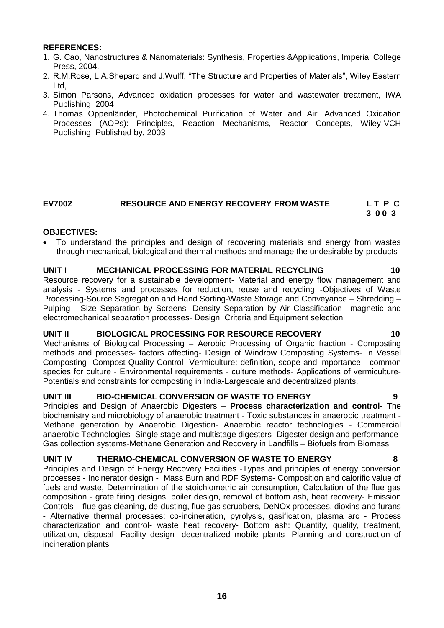- 1. G. Cao, Nanostructures & Nanomaterials: Synthesis, Properties &Applications, Imperial College Press, 2004.
- 2. R.M.Rose, L.A.Shepard and J.Wulff, "The Structure and Properties of Materials", Wiley Eastern Ltd,
- 3. Simon Parsons, Advanced oxidation processes for water and wastewater treatment, IWA Publishing, 2004
- 4. Thomas Oppenländer, Photochemical Purification of Water and Air: Advanced Oxidation Processes (AOPs): Principles, Reaction Mechanisms, Reactor Concepts, Wiley-VCH Publishing, Published by, 2003

### <span id="page-15-0"></span>**EV7002 RESOURCE AND ENERGY RECOVERY FROM WASTE L T P C 3 0 0 3**

## **OBJECTIVES:**

 To understand the principles and design of recovering materials and energy from wastes through mechanical, biological and thermal methods and manage the undesirable by-products

## **UNIT I MECHANICAL PROCESSING FOR MATERIAL RECYCLING 10**

Resource recovery for a sustainable development- Material and energy flow management and analysis - Systems and processes for reduction, reuse and recycling -Objectives of Waste Processing-Source Segregation and Hand Sorting-Waste Storage and Conveyance – Shredding – Pulping - Size Separation by Screens- Density Separation by Air Classification –magnetic and electromechanical separation processes- Design Criteria and Equipment selection

## **UNIT II BIOLOGICAL PROCESSING FOR RESOURCE RECOVERY 10**

Mechanisms of Biological Processing – Aerobic Processing of Organic fraction - Composting methods and processes- factors affecting- Design of Windrow Composting Systems- In Vessel Composting- Compost Quality Control- Vermiculture: definition, scope and importance - common species for culture - Environmental requirements - culture methods- Applications of vermiculture-Potentials and constraints for composting in India-Largescale and decentralized plants.

## **UNIT III BIO-CHEMICAL CONVERSION OF WASTE TO ENERGY 9**

Principles and Design of Anaerobic Digesters – **Process characterization and control-** The biochemistry and microbiology of anaerobic treatment - Toxic substances in anaerobic treatment - Methane generation by Anaerobic Digestion- Anaerobic reactor technologies - Commercial anaerobic Technologies- Single stage and multistage digesters- Digester design and performance-Gas collection systems-Methane Generation and Recovery in Landfills – Biofuels from Biomass

## **UNIT IV THERMO-CHEMICAL CONVERSION OF WASTE TO ENERGY 8**

Principles and Design of Energy Recovery Facilities -Types and principles of energy conversion processes - Incinerator design - Mass Burn and RDF Systems- Composition and calorific value of fuels and waste, Determination of the stoichiometric air consumption, Calculation of the flue gas composition - grate firing designs, boiler design, removal of bottom ash, heat recovery- Emission Controls – flue gas cleaning, de-dusting, flue gas scrubbers, DeNOx processes, dioxins and furans - Alternative thermal processes: co-incineration, pyrolysis, gasification, plasma arc - Process characterization and control- waste heat recovery- Bottom ash: Quantity, quality, treatment, utilization, disposal- Facility design- decentralized mobile plants- Planning and construction of incineration plants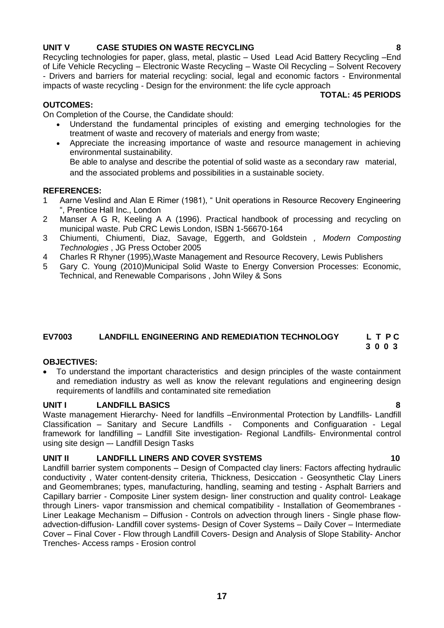## **UNIT V CASE STUDIES ON WASTE RECYCLING 8**

Recycling technologies for paper, glass, metal, plastic – Used Lead Acid Battery Recycling –End of Life Vehicle Recycling – Electronic Waste Recycling – Waste Oil Recycling – Solvent Recovery - Drivers and barriers for material recycling: social, legal and economic factors - Environmental impacts of waste recycling - Design for the environment: the life cycle approach

## **TOTAL: 45 PERIODS**

## **OUTCOMES:**

On Completion of the Course, the Candidate should:

- Understand the fundamental principles of existing and emerging technologies for the treatment of waste and recovery of materials and energy from waste;
- Appreciate the increasing importance of waste and resource management in achieving environmental sustainability. Be able to analyse and describe the potential of solid waste as a secondary raw material,

and the associated problems and possibilities in a sustainable society.

## **REFERENCES:**

- 1 Aarne Veslind and Alan E Rimer (1981), " Unit operations in Resource Recovery Engineering ", Prentice Hall Inc., London
- 2 Manser A G R, Keeling A A (1996). Practical handbook of processing and recycling on municipal waste. Pub CRC Lewis London, ISBN 1-56670-164
- 3 Chiumenti, Chiumenti, Diaz, Savage, Eggerth, and Goldstein *, Modern Composting Technologies* , JG Press October 2005
- 4 Charles R Rhyner (1995),Waste Management and Resource Recovery, Lewis Publishers
- 5 Gary C. Young (2010)Municipal Solid Waste to Energy Conversion Processes: Economic, Technical, and Renewable Comparisons, John Wiley & Sons

### <span id="page-16-0"></span>**EV7003 LANDFILL ENGINEERING AND REMEDIATION TECHNOLOGY L T P C 3 0 0 3**

# **OBJECTIVES:**

 To understand the important characteristics and design principles of the waste containment and remediation industry as well as know the relevant regulations and engineering design requirements of landfills and contaminated site remediation

## **UNIT I LANDFILL BASICS 8**

Waste management Hierarchy- Need for landfills –Environmental Protection by Landfills- Landfill Classification – Sanitary and Secure Landfills - Components and Configuaration - Legal framework for landfilling – Landfill Site investigation- Regional Landfills- Environmental control using site design –- Landfill Design Tasks

# **UNIT II LANDFILL LINERS AND COVER SYSTEMS 10**

Landfill barrier system components – Design of Compacted clay liners: Factors affecting hydraulic conductivity , Water content-density criteria, Thickness, Desiccation - Geosynthetic Clay Liners and Geomembranes; types, manufacturing, handling, seaming and testing - Asphalt Barriers and Capillary barrier - Composite Liner system design- liner construction and quality control- Leakage through Liners- vapor transmission and chemical compatibility - Installation of Geomembranes - Liner Leakage Mechanism – Diffusion - Controls on advection through liners - Single phase flowadvection-diffusion- Landfill cover systems- Design of Cover Systems – Daily Cover – Intermediate Cover – Final Cover - Flow through Landfill Covers- Design and Analysis of Slope Stability- Anchor Trenches- Access ramps - Erosion control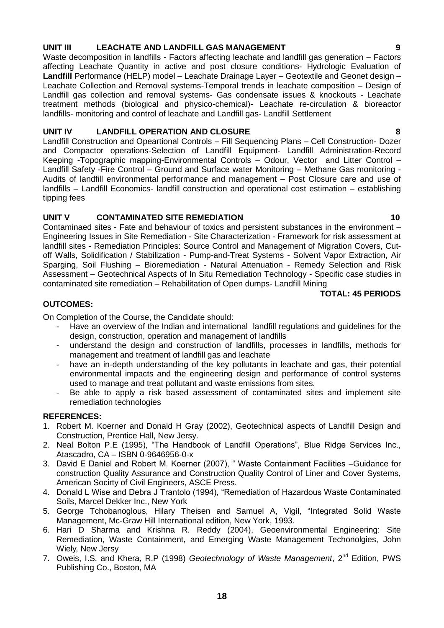## **UNIT III LEACHATE AND LANDFILL GAS MANAGEMENT 9**

Waste decomposition in landfills - Factors affecting leachate and landfill gas generation – Factors affecting Leachate Quantity in active and post closure conditions- Hydrologic Evaluation of **Landfill** Performance (HELP) model – Leachate Drainage Layer – Geotextile and Geonet design – Leachate Collection and Removal systems-Temporal trends in leachate composition – Design of Landfill gas collection and removal systems- Gas condensate issues & knockouts - Leachate treatment methods (biological and physico-chemical)- Leachate re-circulation & bioreactor landfills- monitoring and control of leachate and Landfill gas- Landfill Settlement

## **UNIT IV LANDFILL OPERATION AND CLOSURE 8**

Landfill Construction and Opeartional Controls – Fill Sequencing Plans – Cell Construction- Dozer and Compactor operations-Selection of Landfill Equipment- Landfill Administration-Record Keeping -Topographic mapping-Environmental Controls – Odour, Vector and Litter Control – Landfill Safety -Fire Control – Ground and Surface water Monitoring – Methane Gas monitoring - Audits of landfill environmental performance and management – Post Closure care and use of landfills – Landfill Economics- landfill construction and operational cost estimation – establishing tipping fees

## **UNIT V CONTAMINATED SITE REMEDIATION 10**

Contaminaed sites - Fate and behaviour of toxics and persistent substances in the environment – Engineering Issues in Site Remediation - Site Characterization - Framework for risk assessment at landfill sites - Remediation Principles: Source Control and Management of Migration Covers, Cutoff Walls, Solidification / Stabilization - Pump-and-Treat Systems - Solvent Vapor Extraction, Air Sparging, Soil Flushing – Bioremediation - Natural Attenuation - Remedy Selection and Risk Assessment – Geotechnical Aspects of In Situ Remediation Technology - Specific case studies in contaminated site remediation – Rehabilitation of Open dumps- Landfill Mining

## **TOTAL: 45 PERIODS**

## **OUTCOMES:**

On Completion of the Course, the Candidate should:

- Have an overview of the Indian and international landfill regulations and guidelines for the design, construction, operation and management of landfills
- understand the design and construction of landfills, processes in landfills, methods for management and treatment of landfill gas and leachate
- have an in-depth understanding of the key pollutants in leachate and gas, their potential environmental impacts and the engineering design and performance of control systems used to manage and treat pollutant and waste emissions from sites.
- Be able to apply a risk based assessment of contaminated sites and implement site remediation technologies

## **REFERENCES:**

- 1. Robert M. Koerner and Donald H Gray (2002), Geotechnical aspects of Landfill Design and Construction, Prentice Hall, New Jersy.
- 2. Neal Bolton P.E (1995), "The Handbook of Landfill Operations", Blue Ridge Services Inc., Atascadro, CA – ISBN 0-9646956-0-x
- 3. David E Daniel and Robert M. Koerner (2007), " Waste Containment Facilities –Guidance for construction Quality Assurance and Construction Quality Control of Liner and Cover Systems, American Socirty of Civil Engineers, ASCE Press.
- 4. Donald L Wise and Debra J Trantolo (1994), "Remediation of Hazardous Waste Contaminated Soils, Marcel Dekker Inc., New York
- 5. George Tchobanoglous, Hilary Theisen and Samuel A, Vigil, "Integrated Solid Waste Management, Mc-Graw Hill International edition, New York, 1993.
- 6. Hari D Sharma and Krishna R. Reddy (2004), Geoenvironmental Engineering: Site Remediation, Waste Containment, and Emerging Waste Management Techonolgies, John Wiely, New Jersy
- 7. Oweis, I.S. and Khera, R.P (1998) *Geotechnology of Waste Management*, 2nd Edition, PWS Publishing Co., Boston, MA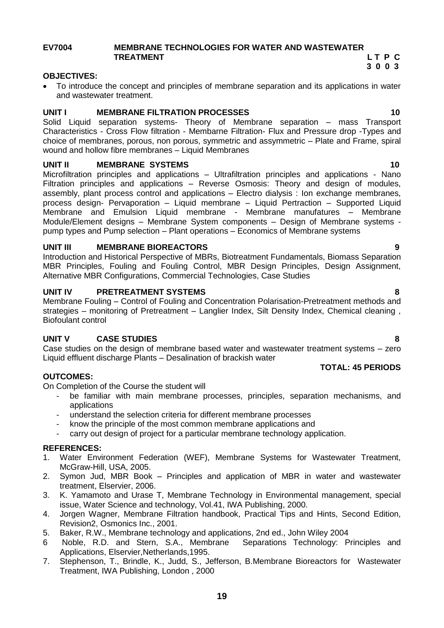## <span id="page-18-0"></span>**EV7004 MEMBRANE TECHNOLOGIES FOR WATER AND WASTEWATER TREATMENT** L T P C 2 3 0 0 3  **3 0 0 3**

### **OBJECTIVES:**

 To introduce the concept and principles of membrane separation and its applications in water and wastewater treatment.

## **UNIT I MEMBRANE FILTRATION PROCESSES 40** 10

Solid Liquid separation systems- Theory of Membrane separation – mass Transport Characteristics - Cross Flow filtration - Membarne Filtration- Flux and Pressure drop -Types and choice of membranes, porous, non porous, symmetric and assymmetric – Plate and Frame, spiral wound and hollow fibre membranes – Liquid Membranes

## **UNIT II MEMBRANE SYSTEMS 10**

Microfiltration principles and applications – Ultrafiltration principles and applications - Nano Filtration principles and applications – Reverse Osmosis: Theory and design of modules, assembly, plant process control and applications – Electro dialysis : Ion exchange membranes, process design- Pervaporation – Liquid membrane – Liquid Pertraction – Supported Liquid Membrane and Emulsion Liquid membrane - Membrane manufatures – Membrane Module/Element designs – Membrane System components – Design of Membrane systems pump types and Pump selection – Plant operations – Economics of Membrane systems

## **UNIT III MEMBRANE BIOREACTORS 9**

Introduction and Historical Perspective of MBRs, Biotreatment Fundamentals, Biomass Separation MBR Principles, Fouling and Fouling Control, MBR Design Principles, Design Assignment, Alternative MBR Configurations, Commercial Technologies, Case Studies

## **UNIT IV PRETREATMENT SYSTEMS 8**

Membrane Fouling – Control of Fouling and Concentration Polarisation-Pretreatment methods and strategies – monitoring of Pretreatment – Langlier Index, Silt Density Index, Chemical cleaning, Biofoulant control

## **UNIT V CASE STUDIES 8**

Case studies on the design of membrane based water and wastewater treatment systems – zero Liquid effluent discharge Plants – Desalination of brackish water

### **OUTCOMES:**

On Completion of the Course the student will

- be familiar with main membrane processes, principles, separation mechanisms, and applications
- understand the selection criteria for different membrane processes
- know the principle of the most common membrane applications and
- carry out design of project for a particular membrane technology application.

## **REFERENCES:**

- 1. Water Environment Federation (WEF), Membrane Systems for Wastewater Treatment, McGraw-Hill, USA, 2005.
- 2. Symon Jud, MBR Book Principles and application of MBR in water and wastewater treatment, Elservier, 2006.
- 3. K. Yamamoto and Urase T, Membrane Technology in Environmental management, special issue, Water Science and technology, Vol.41, IWA Publishing, 2000.
- 4. Jorgen Wagner, Membrane Filtration handbook, Practical Tips and Hints, Second Edition, Revision2, Osmonics Inc., 2001.
- 5. Baker, R.W., Membrane technology and applications, 2nd ed., John Wiley 2004
- 6 Noble, R.D. and Stern, S.A., Membrane Separations Technology: Principles and Applications, Elservier,Netherlands,1995.
- 7. Stephenson, T., Brindle, K., Judd, S., Jefferson, B.Membrane Bioreactors for Wastewater Treatment, IWA Publishing, London , 2000
- 
-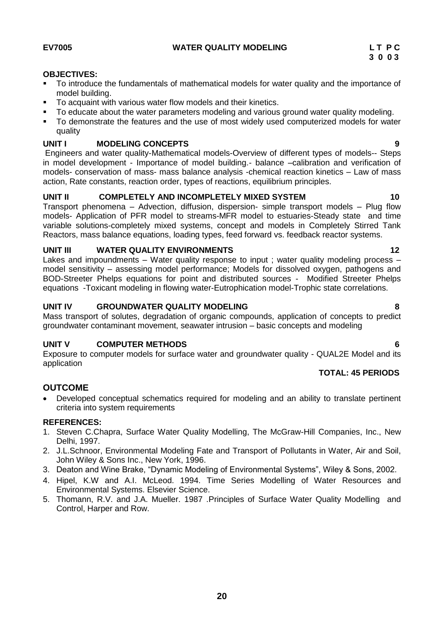## <span id="page-19-0"></span>**OBJECTIVES:**

- To introduce the fundamentals of mathematical models for water quality and the importance of model building.
- To acquaint with various water flow models and their kinetics.
- To educate about the water parameters modeling and various ground water quality modeling.
- To demonstrate the features and the use of most widely used computerized models for water quality

## **UNIT I MODELING CONCEPTS 9**

Engineers and water quality-Mathematical models-Overview of different types of models-- Steps in model development - Importance of model building.- balance –calibration and verification of models- conservation of mass- mass balance analysis -chemical reaction kinetics – Law of mass action, Rate constants, reaction order, types of reactions, equilibrium principles.

## **UNIT II COMPLETELY AND INCOMPLETELY MIXED SYSTEM 10**

Transport phenomena – Advection, diffusion, dispersion- simple transport models – Plug flow models- Application of PFR model to streams-MFR model to estuaries-Steady state and time variable solutions-completely mixed systems, concept and models in Completely Stirred Tank Reactors, mass balance equations, loading types, feed forward vs. feedback reactor systems.

## **UNIT III WATER QUALITY ENVIRONMENTS 12**

Lakes and impoundments – Water quality response to input; water quality modeling process – model sensitivity – assessing model performance; Models for dissolved oxygen, pathogens and BOD-Streeter Phelps equations for point and distributed sources - Modified Streeter Phelps equations -Toxicant modeling in flowing water-Eutrophication model-Trophic state correlations.

## **UNIT IV GROUNDWATER QUALITY MODELING 8**

Mass transport of solutes, degradation of organic compounds, application of concepts to predict groundwater contaminant movement, seawater intrusion – basic concepts and modeling

## **UNIT V COMPUTER METHODS 6**

Exposure to computer models for surface water and groundwater quality - QUAL2E Model and its application

## **TOTAL: 45 PERIODS**

## **OUTCOME**

 Developed conceptual schematics required for modeling and an ability to translate pertinent criteria into system requirements

## **REFERENCES:**

- 1. Steven C.Chapra, Surface Water Quality Modelling, The McGraw-Hill Companies, Inc., New Delhi, 1997.
- 2. J.L.Schnoor, Environmental Modeling Fate and Transport of Pollutants in Water, Air and Soil, John Wiley & Sons Inc., New York, 1996.
- 3. Deaton and Wine Brake, "Dynamic Modeling of Environmental Systems", Wiley & Sons, 2002.
- 4. Hipel, K.W and A.I. McLeod. 1994. Time Series Modelling of Water Resources and Environmental Systems. Elsevier Science.
- 5. Thomann, R.V. and J.A. Mueller. 1987 .Principles of Surface Water Quality Modelling and Control, Harper and Row.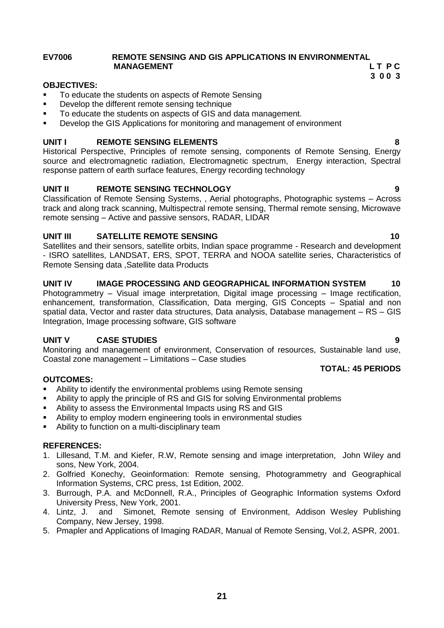## <span id="page-20-0"></span>**EV7006 REMOTE SENSING AND GIS APPLICATIONS IN ENVIRONMENTAL MANAGEMENT** LTPC

 **3 0 0 3**

## **OBJECTIVES:**

- To educate the students on aspects of Remote Sensing
- **•** Develop the different remote sensing technique
- To educate the students on aspects of GIS and data management.
- Develop the GIS Applications for monitoring and management of environment

## **UNIT I REMOTE SENSING ELEMENTS 8**

Historical Perspective, Principles of remote sensing, components of Remote Sensing, Energy source and electromagnetic radiation, Electromagnetic spectrum, Energy interaction, Spectral response pattern of earth surface features, Energy recording technology

## **UNIT II REMOTE SENSING TECHNOLOGY 9**

Classification of Remote Sensing Systems, , Aerial photographs, Photographic systems – Across track and along track scanning, Multispectral remote sensing, Thermal remote sensing, Microwave remote sensing – Active and passive sensors, RADAR, LIDAR

## **UNIT III SATELLITE REMOTE SENSING 10**

Satellites and their sensors, satellite orbits, Indian space programme - Research and development - ISRO satellites, LANDSAT, ERS, SPOT, TERRA and NOOA satellite series, Characteristics of Remote Sensing data ,Satellite data Products

## **UNIT IV IMAGE PROCESSING AND GEOGRAPHICAL INFORMATION SYSTEM 10**

Photogrammetry – Visual image interpretation, Digital image processing – Image rectification, enhancement, transformation, Classification, Data merging, GIS Concepts – Spatial and non spatial data, Vector and raster data structures, Data analysis, Database management – RS – GIS Integration, Image processing software, GIS software

## **UNIT V CASE STUDIES 9**

Monitoring and management of environment, Conservation of resources, Sustainable land use, Coastal zone management – Limitations – Case studies

## **TOTAL: 45 PERIODS**

## **OUTCOMES:**

- Ability to identify the environmental problems using Remote sensing
- Ability to apply the principle of RS and GIS for solving Environmental problems
- Ability to assess the Environmental Impacts using RS and GIS
- Ability to employ modern engineering tools in environmental studies
- Ability to function on a multi-disciplinary team

### **REFERENCES:**

- 1. Lillesand, T.M. and Kiefer, R.W, Remote sensing and image interpretation, John Wiley and sons, New York, 2004.
- 2. Golfried Konechy, Geoinformation: Remote sensing, Photogrammetry and Geographical Information Systems, CRC press, 1st Edition, 2002.
- 3. Burrough, P.A. and McDonnell, R.A., Principles of Geographic Information systems Oxford University Press, New York, 2001.
- 4. Lintz, J. and Simonet, Remote sensing of Environment, Addison Wesley Publishing Company, New Jersey, 1998.
- 5. Pmapler and Applications of Imaging RADAR, Manual of Remote Sensing, Vol.2, ASPR, 2001.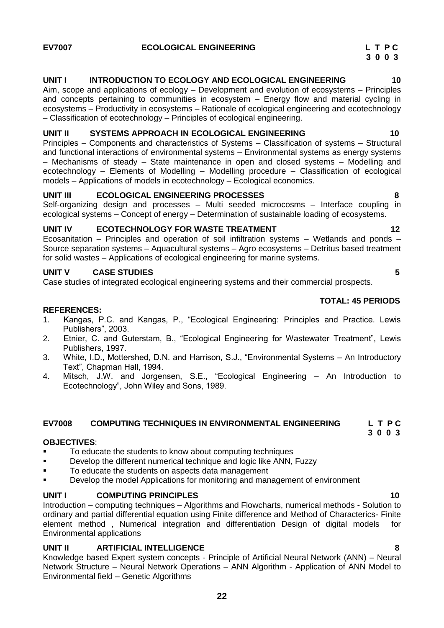## <span id="page-21-0"></span>**EV7007 ECOLOGICAL ENGINEERING L T P C**

## **UNIT I INTRODUCTION TO ECOLOGY AND ECOLOGICAL ENGINEERING 10**

Aim, scope and applications of ecology – Development and evolution of ecosystems – Principles and concepts pertaining to communities in ecosystem – Energy flow and material cycling in ecosystems – Productivity in ecosystems – Rationale of ecological engineering and ecotechnology – Classification of ecotechnology – Principles of ecological engineering.

## **UNIT II SYSTEMS APPROACH IN ECOLOGICAL ENGINEERING 10**

Principles – Components and characteristics of Systems – Classification of systems – Structural and functional interactions of environmental systems – Environmental systems as energy systems – Mechanisms of steady – State maintenance in open and closed systems – Modelling and ecotechnology – Elements of Modelling – Modelling procedure – Classification of ecological models – Applications of models in ecotechnology – Ecological economics.

## **UNIT III ECOLOGICAL ENGINEERING PROCESSES 8**

Self-organizing design and processes – Multi seeded microcosms – Interface coupling in ecological systems – Concept of energy – Determination of sustainable loading of ecosystems.

## UNIT IV **ECOTECHNOLOGY FOR WASTE TREATMENT** 12

Ecosanitation – Principles and operation of soil infiltration systems – Wetlands and ponds – Source separation systems – Aquacultural systems – Agro ecosystems – Detritus based treatment for solid wastes – Applications of ecological engineering for marine systems.

## **UNIT V CASE STUDIES 5**

Case studies of integrated ecological engineering systems and their commercial prospects.

## **TOTAL: 45 PERIODS**

## **REFERENCES:**

- 1. Kangas, P.C. and Kangas, P., "Ecological Engineering: Principles and Practice. Lewis Publishers", 2003.
- 2. Etnier, C. and Guterstam, B., "Ecological Engineering for Wastewater Treatment", Lewis Publishers, 1997.
- 3. White, I.D., Mottershed, D.N. and Harrison, S.J., "Environmental Systems An Introductory Text", Chapman Hall, 1994.
- <span id="page-21-1"></span>4. Mitsch, J.W. and Jorgensen, S.E., "Ecological Engineering – An Introduction to Ecotechnology", John Wiley and Sons, 1989.

### **EV7008 COMPUTING TECHNIQUES IN ENVIRONMENTAL ENGINEERING L T P C 3 0 0 3**

### **OBJECTIVES**:

- To educate the students to know about computing techniques
- **Develop the different numerical technique and logic like ANN, Fuzzy**
- To educate the students on aspects data management
- **•** Develop the model Applications for monitoring and management of environment

## **UNIT I COMPUTING PRINCIPLES 10**

Introduction – computing techniques – Algorithms and Flowcharts, numerical methods - Solution to ordinary and partial differential equation using Finite difference and Method of Characterics- Finite element method , Numerical integration and differentiation Design of digital models for Environmental applications

## **UNIT II ARTIFICIAL INTELLIGENCE 8**

Knowledge based Expert system concepts - Principle of Artificial Neural Network (ANN) – Neural Network Structure – Neural Network Operations – ANN Algorithm - Application of ANN Model to Environmental field – Genetic Algorithms

**22**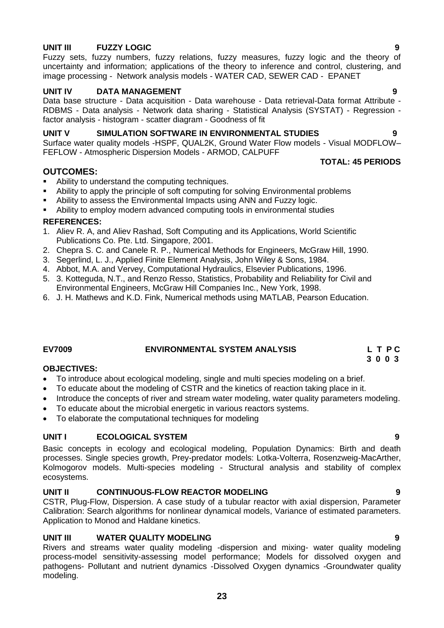## **UNIT III FUZZY LOGIC 9**

Fuzzy sets, fuzzy numbers, fuzzy relations, fuzzy measures, fuzzy logic and the theory of uncertainty and information; applications of the theory to inference and control, clustering, and image processing - Network analysis models - WATER CAD, SEWER CAD - EPANET

# **UNIT IV DATA MANAGEMENT 9**

Data base structure - Data acquisition - Data warehouse - Data retrieval-Data format Attribute - RDBMS - Data analysis - Network data sharing - Statistical Analysis (SYSTAT) - Regression factor analysis - histogram - scatter diagram - Goodness of fit

## **UNIT V SIMULATION SOFTWARE IN ENVIRONMENTAL STUDIES 9**

Surface water quality models -HSPF, QUAL2K, Ground Water Flow models - Visual MODFLOW– FEFLOW - Atmospheric Dispersion Models - ARMOD, CALPUFF

## **OUTCOMES:**

- Ability to understand the computing techniques.
- Ability to apply the principle of soft computing for solving Environmental problems
- Ability to assess the Environmental Impacts using ANN and Fuzzy logic.
- Ability to employ modern advanced computing tools in environmental studies

## **REFERENCES:**

- 1. Aliev R. A, and Aliev Rashad, Soft Computing and its Applications, World Scientific Publications Co. Pte. Ltd. Singapore, 2001.
- 2. Chepra S. C. and Canele R. P., Numerical Methods for Engineers, McGraw Hill, 1990.
- 3. Segerlind, L. J., Applied Finite Element Analysis, John Wiley & Sons, 1984.
- 4. Abbot, M.A. and Vervey, Computational Hydraulics, Elsevier Publications, 1996.
- 5. 3. Kotteguda, N.T., and Renzo Resso, Statistics, Probability and Reliability for Civil and Environmental Engineers, McGraw Hill Companies Inc., New York, 1998.
- 6. J. H. Mathews and K.D. Fink, Numerical methods using MATLAB, Pearson Education.

# **EV7009 ENVIRONMENTAL SYSTEM ANALYSIS L T P C**

## **OBJECTIVES:**

- To introduce about ecological modeling, single and multi species modeling on a brief.
- To educate about the modeling of CSTR and the kinetics of reaction taking place in it.
- Introduce the concepts of river and stream water modeling, water quality parameters modeling.
- To educate about the microbial energetic in various reactors systems.
- To elaborate the computational techniques for modeling

# **UNIT I ECOLOGICAL SYSTEM 9**

Basic concepts in ecology and ecological modeling, Population Dynamics: Birth and death processes. Single species growth, Prey-predator models: Lotka-Volterra, Rosenzweig-MacArther, Kolmogorov models. Multi-species modeling - Structural analysis and stability of complex ecosystems.

## **UNIT II CONTINUOUS-FLOW REACTOR MODELING 9**

CSTR, Plug-Flow, Dispersion. A case study of a tubular reactor with axial dispersion, Parameter Calibration: Search algorithms for nonlinear dynamical models, Variance of estimated parameters. Application to Monod and Haldane kinetics.

## **UNIT III WATER QUALITY MODELING 9**

Rivers and streams water quality modeling -dispersion and mixing- water quality modeling process-model sensitivity-assessing model performance; Models for dissolved oxygen and pathogens- Pollutant and nutrient dynamics -Dissolved Oxygen dynamics -Groundwater quality modeling.

**23**

<span id="page-22-0"></span> **3 0 0 3**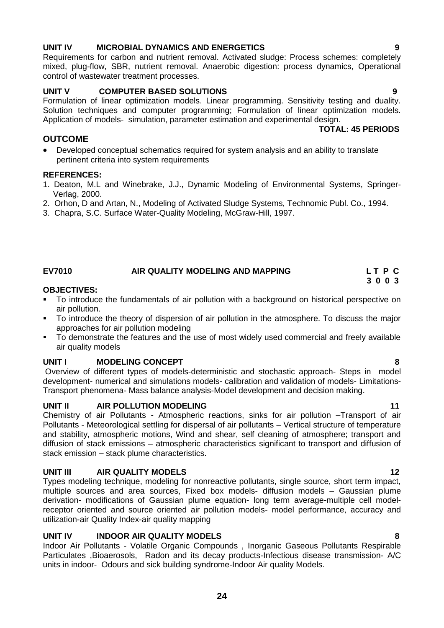## **UNIT IV MICROBIAL DYNAMICS AND ENERGETICS 9**

## **UNIT V COMPUTER BASED SOLUTIONS 9**

control of wastewater treatment processes.

Formulation of linear optimization models. Linear programming. Sensitivity testing and duality. Solution techniques and computer programming; Formulation of linear optimization models. Application of models- simulation, parameter estimation and experimental design.  **TOTAL: 45 PERIODS**

mixed, plug-flow, SBR, nutrient removal. Anaerobic digestion: process dynamics, Operational

## **OUTCOME**

 Developed conceptual schematics required for system analysis and an ability to translate pertinent criteria into system requirements

## **REFERENCES:**

- 1. Deaton, M.L and Winebrake, J.J., Dynamic Modeling of Environmental Systems, Springer-Verlag, 2000.
- 2. Orhon, D and Artan, N., Modeling of Activated Sludge Systems, Technomic Publ. Co., 1994.
- 3. Chapra, S.C. Surface Water-Quality Modeling, McGraw-Hill, 1997.

### <span id="page-23-0"></span>**EV7010 AIR QUALITY MODELING AND MAPPING L T P C 3 0 0 3**

# **OBJECTIVES:**

- To introduce the fundamentals of air pollution with a background on historical perspective on air pollution.
- To introduce the theory of dispersion of air pollution in the atmosphere. To discuss the major approaches for air pollution modeling
- To demonstrate the features and the use of most widely used commercial and freely available air quality models

# **UNIT I MODELING CONCEPT 8**

Overview of different types of models-deterministic and stochastic approach- Steps in model development- numerical and simulations models- calibration and validation of models- Limitations-Transport phenomena- Mass balance analysis-Model development and decision making.

# **UNIT II** AIR POLLUTION MODELING **11**

Chemistry of air Pollutants - Atmospheric reactions, sinks for air pollution –Transport of air Pollutants - Meteorological settling for dispersal of air pollutants – Vertical structure of temperature and stability, atmospheric motions, Wind and shear, self cleaning of atmosphere; transport and diffusion of stack emissions – atmospheric characteristics significant to transport and diffusion of stack emission – stack plume characteristics.

# **UNIT III AIR QUALITY MODELS 12**

Types modeling technique, modeling for nonreactive pollutants, single source, short term impact, multiple sources and area sources, Fixed box models- diffusion models – Gaussian plume derivation- modifications of Gaussian plume equation- long term average-multiple cell modelreceptor oriented and source oriented air pollution models- model performance, accuracy and utilization-air Quality Index-air quality mapping

## **UNIT IV INDOOR AIR QUALITY MODELS 8**

Indoor Air Pollutants - Volatile Organic Compounds , Inorganic Gaseous Pollutants Respirable Particulates ,Bioaerosols, Radon and its decay products-Infectious disease transmission- A/C units in indoor- Odours and sick building syndrome-Indoor Air quality Models.

Requirements for carbon and nutrient removal. Activated sludge: Process schemes: completely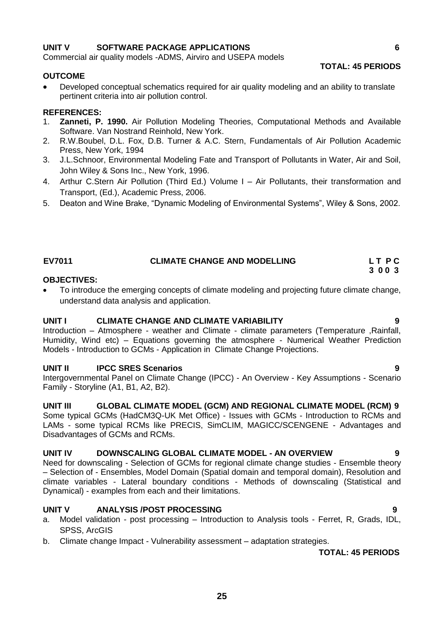## **UNIT V SOFTWARE PACKAGE APPLICATIONS 6**

Commercial air quality models -ADMS, Airviro and USEPA models

### **OUTCOME**

 Developed conceptual schematics required for air quality modeling and an ability to translate pertinent criteria into air pollution control.

### **REFERENCES:**

- 1. **Zanneti, P. 1990.** Air Pollution Modeling Theories, Computational Methods and Available Software. Van Nostrand Reinhold, New York.
- 2. R.W.Boubel, D.L. Fox, D.B. Turner & A.C. Stern, Fundamentals of Air Pollution Academic Press, New York, 1994
- 3. J.L.Schnoor, Environmental Modeling Fate and Transport of Pollutants in Water, Air and Soil, John Wiley & Sons Inc., New York, 1996.
- 4. Arthur C.Stern Air Pollution (Third Ed.) Volume I Air Pollutants, their transformation and Transport, (Ed.), Academic Press, 2006.
- 5. Deaton and Wine Brake, "Dynamic Modeling of Environmental Systems", Wiley & Sons, 2002.

## <span id="page-24-0"></span> **EV7011 CLIMATE CHANGE AND MODELLING L T P C 3 0 0 3**

### **OBJECTIVES:**

 To introduce the emerging concepts of climate modeling and projecting future climate change, understand data analysis and application.

### **UNIT I CLIMATE CHANGE AND CLIMATE VARIABILITY 9**

Introduction – Atmosphere - weather and Climate - climate parameters (Temperature ,Rainfall, Humidity, Wind etc) – Equations governing the atmosphere - Numerical Weather Prediction Models - Introduction to GCMs - Application in Climate Change Projections.

### **UNIT II IPCC SRES Scenarios 9**

Intergovernmental Panel on Climate Change (IPCC) - An Overview - Key Assumptions - Scenario Family - Storyline (A1, B1, A2, B2).

## **UNIT III GLOBAL CLIMATE MODEL (GCM) AND REGIONAL CLIMATE MODEL (RCM) 9**

Some typical GCMs (HadCM3Q-UK Met Office) - Issues with GCMs - Introduction to RCMs and LAMs - some typical RCMs like PRECIS, SimCLIM, MAGICC/SCENGENE - Advantages and Disadvantages of GCMs and RCMs.

## **UNIT IV DOWNSCALING GLOBAL CLIMATE MODEL - AN OVERVIEW 9**

Need for downscaling - Selection of GCMs for regional climate change studies - Ensemble theory – Selection of - Ensembles, Model Domain (Spatial domain and temporal domain), Resolution and climate variables - Lateral boundary conditions - Methods of downscaling (Statistical and Dynamical) - examples from each and their limitations.

### **UNIT V ANALYSIS /POST PROCESSING 9**

- a. Model validation post processing Introduction to Analysis tools Ferret, R, Grads, IDL, SPSS, ArcGIS
- b. Climate change Impact Vulnerability assessment adaptation strategies.

### **TOTAL: 45 PERIODS**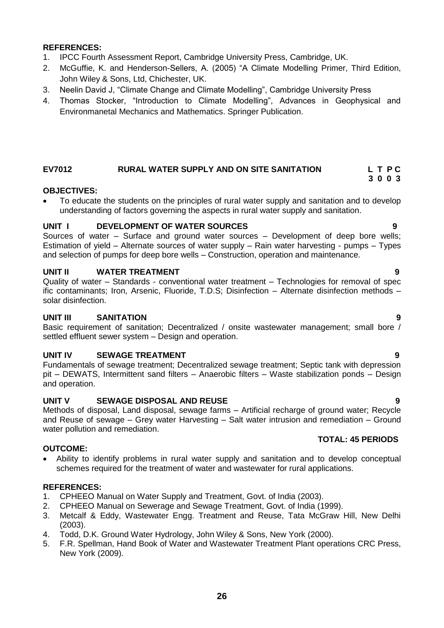- 1. IPCC Fourth Assessment Report, Cambridge University Press, Cambridge, UK.
- 2. McGuffie, K. and Henderson-Sellers, A. (2005) "A Climate Modelling Primer, Third Edition, John Wiley & Sons, Ltd, Chichester, UK.
- 3. Neelin David J, "Climate Change and Climate Modelling", Cambridge University Press
- 4. Thomas Stocker, "Introduction to Climate Modelling", Advances in Geophysical and Environmanetal Mechanics and Mathematics. Springer Publication.

### **EV7012 RURAL WATER SUPPLY AND ON SITE SANITATION L T P C 3 0 0 3**

## **OBJECTIVES:**

 To educate the students on the principles of rural water supply and sanitation and to develop understanding of factors governing the aspects in rural water supply and sanitation.

## **UNIT I DEVELOPMENT OF WATER SOURCES 9**

Sources of water – Surface and ground water sources – Development of deep bore wells; Estimation of yield – Alternate sources of water supply – Rain water harvesting - pumps – Types and selection of pumps for deep bore wells – Construction, operation and maintenance.

## **UNIT II WATER TREATMENT 9**

Quality of water – Standards - conventional water treatment – Technologies for removal of spec ific contaminants; Iron, Arsenic, Fluoride, T.D.S; Disinfection – Alternate disinfection methods – solar disinfection.

## **UNIT III SANITATION 9**

Basic requirement of sanitation; Decentralized / onsite wastewater management; small bore / settled effluent sewer system – Design and operation.

## **UNIT IV SEWAGE TREATMENT CONSUMING A SERVEY CONSUMING A SERVEY CONSUMING A SERVEY CONSUMING A SERVEY CONSUMING**

Fundamentals of sewage treatment; Decentralized sewage treatment; Septic tank with depression pit – DEWATS, Intermittent sand filters – Anaerobic filters – Waste stabilization ponds – Design and operation.

## **UNIT V SEWAGE DISPOSAL AND REUSE 9**

Methods of disposal, Land disposal, sewage farms – Artificial recharge of ground water; Recycle and Reuse of sewage – Grey water Harvesting – Salt water intrusion and remediation – Ground water pollution and remediation.

## **OUTCOME:**

 Ability to identify problems in rural water supply and sanitation and to develop conceptual schemes required for the treatment of water and wastewater for rural applications.

### **REFERENCES:**

- 1. CPHEEO Manual on Water Supply and Treatment, Govt. of India (2003).
- 2. CPHEEO Manual on Sewerage and Sewage Treatment, Govt. of India (1999).
- 3. Metcalf & Eddy, Wastewater Engg. Treatment and Reuse, Tata McGraw Hill, New Delhi (2003).
- 4. Todd, D.K. Ground Water Hydrology, John Wiley & Sons, New York (2000).
- 5. F.R. Spellman, Hand Book of Water and Wastewater Treatment Plant operations CRC Press, New York (2009).